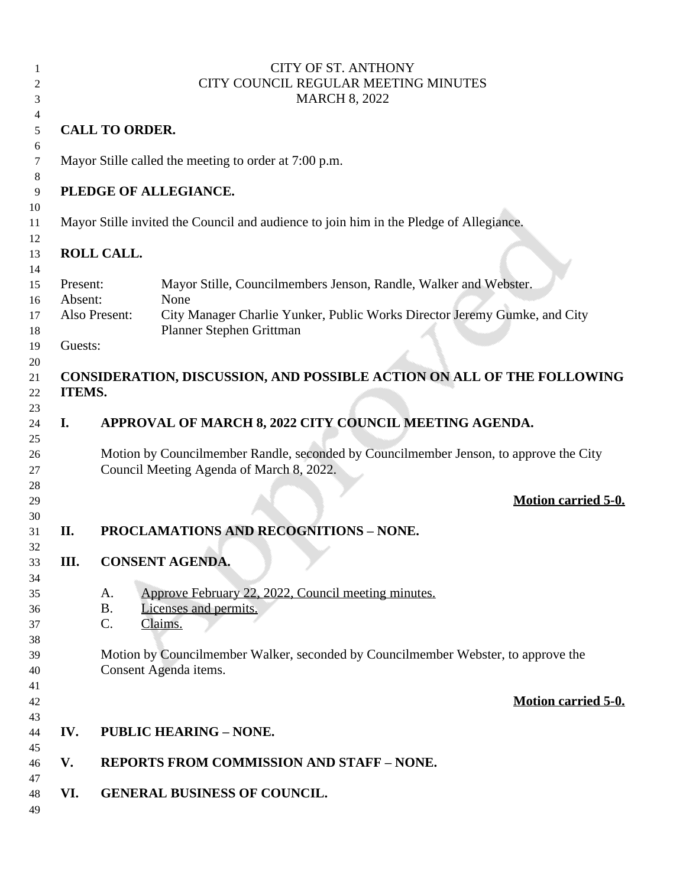|    |                                                                                        | <b>CITY OF ST. ANTHONY</b>                                                                 |
|----|----------------------------------------------------------------------------------------|--------------------------------------------------------------------------------------------|
| 2  | CITY COUNCIL REGULAR MEETING MINUTES                                                   |                                                                                            |
| 3  | <b>MARCH 8, 2022</b>                                                                   |                                                                                            |
| 4  |                                                                                        |                                                                                            |
| 5  | <b>CALL TO ORDER.</b>                                                                  |                                                                                            |
|    |                                                                                        |                                                                                            |
| 6  |                                                                                        |                                                                                            |
| 7  |                                                                                        | Mayor Stille called the meeting to order at 7:00 p.m.                                      |
| 8  |                                                                                        |                                                                                            |
| 9  |                                                                                        | PLEDGE OF ALLEGIANCE.                                                                      |
| 10 |                                                                                        |                                                                                            |
| 11 | Mayor Stille invited the Council and audience to join him in the Pledge of Allegiance. |                                                                                            |
| 12 |                                                                                        |                                                                                            |
| 13 |                                                                                        | ROLL CALL.                                                                                 |
| 14 |                                                                                        |                                                                                            |
| 15 | Present:                                                                               | Mayor Stille, Councilmembers Jenson, Randle, Walker and Webster.                           |
| 16 | Absent:                                                                                | None                                                                                       |
| 17 |                                                                                        | City Manager Charlie Yunker, Public Works Director Jeremy Gumke, and City<br>Also Present: |
| 18 |                                                                                        | Planner Stephen Grittman                                                                   |
| 19 | Guests:                                                                                |                                                                                            |
| 20 |                                                                                        |                                                                                            |
| 21 |                                                                                        | CONSIDERATION, DISCUSSION, AND POSSIBLE ACTION ON ALL OF THE FOLLOWING                     |
| 22 | ITEMS.                                                                                 |                                                                                            |
| 23 |                                                                                        |                                                                                            |
| 24 | I.                                                                                     | APPROVAL OF MARCH 8, 2022 CITY COUNCIL MEETING AGENDA.                                     |
| 25 |                                                                                        |                                                                                            |
|    |                                                                                        | Motion by Councilmember Randle, seconded by Councilmember Jenson, to approve the City      |
| 26 |                                                                                        |                                                                                            |
| 27 |                                                                                        | Council Meeting Agenda of March 8, 2022.                                                   |
| 28 |                                                                                        |                                                                                            |
| 29 |                                                                                        | <b>Motion carried 5-0.</b>                                                                 |
| 30 |                                                                                        |                                                                                            |
| 31 | II.                                                                                    | <b>PROCLAMATIONS AND RECOGNITIONS - NONE.</b>                                              |
| 32 |                                                                                        |                                                                                            |
| 33 | Ш.                                                                                     | <b>CONSENT AGENDA.</b>                                                                     |
| 34 |                                                                                        |                                                                                            |
| 35 |                                                                                        | Approve February 22, 2022, Council meeting minutes.<br>A.                                  |
| 36 |                                                                                        | <b>B.</b><br>Licenses and permits.                                                         |
| 37 |                                                                                        | C.<br>Claims.                                                                              |
| 38 |                                                                                        |                                                                                            |
| 39 |                                                                                        | Motion by Councilmember Walker, seconded by Councilmember Webster, to approve the          |
| 40 |                                                                                        | Consent Agenda items.                                                                      |
| 41 |                                                                                        |                                                                                            |
| 42 |                                                                                        | <b>Motion carried 5-0.</b>                                                                 |
| 43 |                                                                                        |                                                                                            |
| 44 | IV.                                                                                    | <b>PUBLIC HEARING - NONE.</b>                                                              |
| 45 |                                                                                        |                                                                                            |
| 46 | V.                                                                                     | <b>REPORTS FROM COMMISSION AND STAFF - NONE.</b>                                           |
| 47 |                                                                                        |                                                                                            |
| 48 | VI.                                                                                    | <b>GENERAL BUSINESS OF COUNCIL.</b>                                                        |
| 49 |                                                                                        |                                                                                            |
|    |                                                                                        |                                                                                            |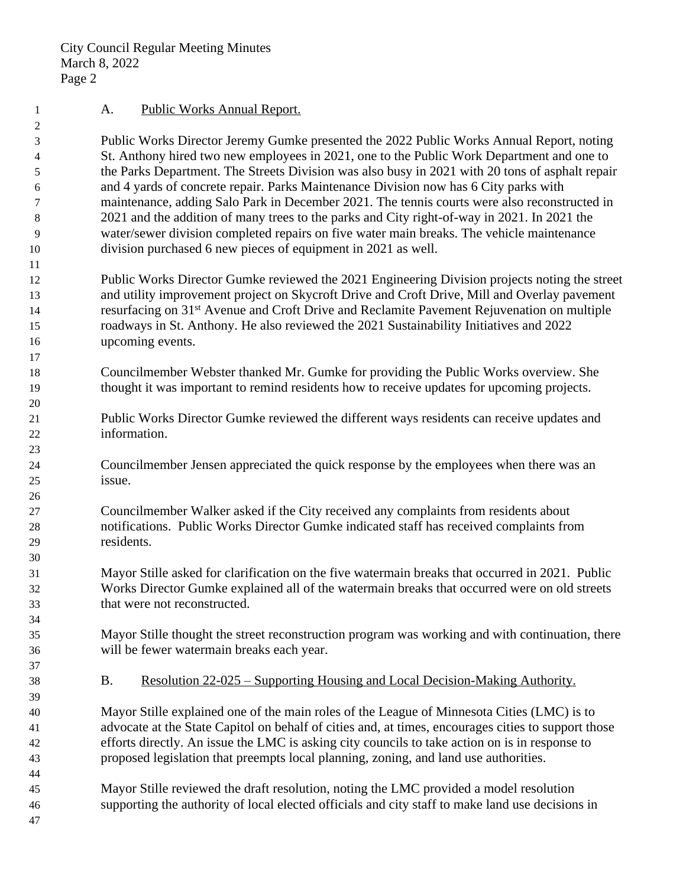City Council Regular Meeting Minutes March 8, 2022 Page 2

### 1 A. Public Works Annual Report.

 Public Works Director Jeremy Gumke presented the 2022 Public Works Annual Report, noting St. Anthony hired two new employees in 2021, one to the Public Work Department and one to the Parks Department. The Streets Division was also busy in 2021 with 20 tons of asphalt repair and 4 yards of concrete repair. Parks Maintenance Division now has 6 City parks with maintenance, adding Salo Park in December 2021. The tennis courts were also reconstructed in 2021 and the addition of many trees to the parks and City right-of-way in 2021. In 2021 the water/sewer division completed repairs on five water main breaks. The vehicle maintenance division purchased 6 new pieces of equipment in 2021 as well.

- Public Works Director Gumke reviewed the 2021 Engineering Division projects noting the street and utility improvement project on Skycroft Drive and Croft Drive, Mill and Overlay pavement resurfacing on 31st Avenue and Croft Drive and Reclamite Pavement Rejuvenation on multiple roadways in St. Anthony. He also reviewed the 2021 Sustainability Initiatives and 2022 upcoming events.
- Councilmember Webster thanked Mr. Gumke for providing the Public Works overview. She thought it was important to remind residents how to receive updates for upcoming projects.
- Public Works Director Gumke reviewed the different ways residents can receive updates and information.
- Councilmember Jensen appreciated the quick response by the employees when there was an issue.
- Councilmember Walker asked if the City received any complaints from residents about notifications. Public Works Director Gumke indicated staff has received complaints from residents.
- Mayor Stille asked for clarification on the five watermain breaks that occurred in 2021. Public Works Director Gumke explained all of the watermain breaks that occurred were on old streets that were not reconstructed.
- Mayor Stille thought the street reconstruction program was working and with continuation, there will be fewer watermain breaks each year.
- B. Resolution 22-025 Supporting Housing and Local Decision-Making Authority.
- Mayor Stille explained one of the main roles of the League of Minnesota Cities (LMC) is to advocate at the State Capitol on behalf of cities and, at times, encourages cities to support those efforts directly. An issue the LMC is asking city councils to take action on is in response to proposed legislation that preempts local planning, zoning, and land use authorities.
- Mayor Stille reviewed the draft resolution, noting the LMC provided a model resolution supporting the authority of local elected officials and city staff to make land use decisions in
-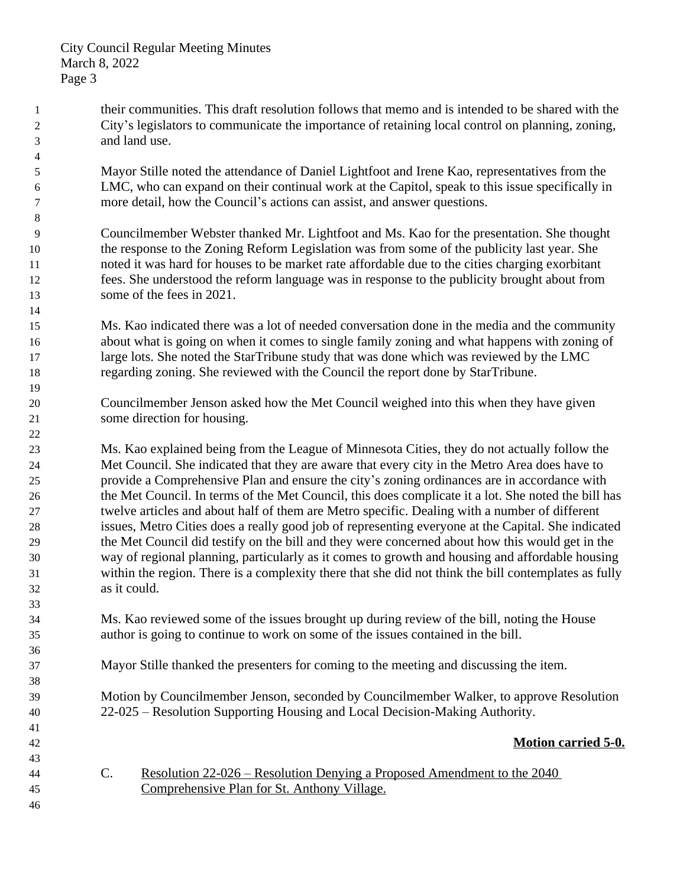- their communities. This draft resolution follows that memo and is intended to be shared with the City's legislators to communicate the importance of retaining local control on planning, zoning, and land use.
- Mayor Stille noted the attendance of Daniel Lightfoot and Irene Kao, representatives from the LMC, who can expand on their continual work at the Capitol, speak to this issue specifically in more detail, how the Council's actions can assist, and answer questions.
- Councilmember Webster thanked Mr. Lightfoot and Ms. Kao for the presentation. She thought the response to the Zoning Reform Legislation was from some of the publicity last year. She noted it was hard for houses to be market rate affordable due to the cities charging exorbitant fees. She understood the reform language was in response to the publicity brought about from some of the fees in 2021.
- Ms. Kao indicated there was a lot of needed conversation done in the media and the community about what is going on when it comes to single family zoning and what happens with zoning of 17 large lots. She noted the StarTribune study that was done which was reviewed by the LMC regarding zoning. She reviewed with the Council the report done by StarTribune.
- Councilmember Jenson asked how the Met Council weighed into this when they have given some direction for housing.
- Ms. Kao explained being from the League of Minnesota Cities, they do not actually follow the Met Council. She indicated that they are aware that every city in the Metro Area does have to provide a Comprehensive Plan and ensure the city's zoning ordinances are in accordance with the Met Council. In terms of the Met Council, this does complicate it a lot. She noted the bill has twelve articles and about half of them are Metro specific. Dealing with a number of different issues, Metro Cities does a really good job of representing everyone at the Capital. She indicated the Met Council did testify on the bill and they were concerned about how this would get in the way of regional planning, particularly as it comes to growth and housing and affordable housing within the region. There is a complexity there that she did not think the bill contemplates as fully as it could.
- Ms. Kao reviewed some of the issues brought up during review of the bill, noting the House author is going to continue to work on some of the issues contained in the bill.
- Mayor Stille thanked the presenters for coming to the meeting and discussing the item.
- Motion by Councilmember Jenson, seconded by Councilmember Walker, to approve Resolution 22-025 – Resolution Supporting Housing and Local Decision-Making Authority.

## **Motion carried 5-0.**

- C. Resolution 22-026 Resolution Denying a Proposed Amendment to the 2040 Comprehensive Plan for St. Anthony Village.
-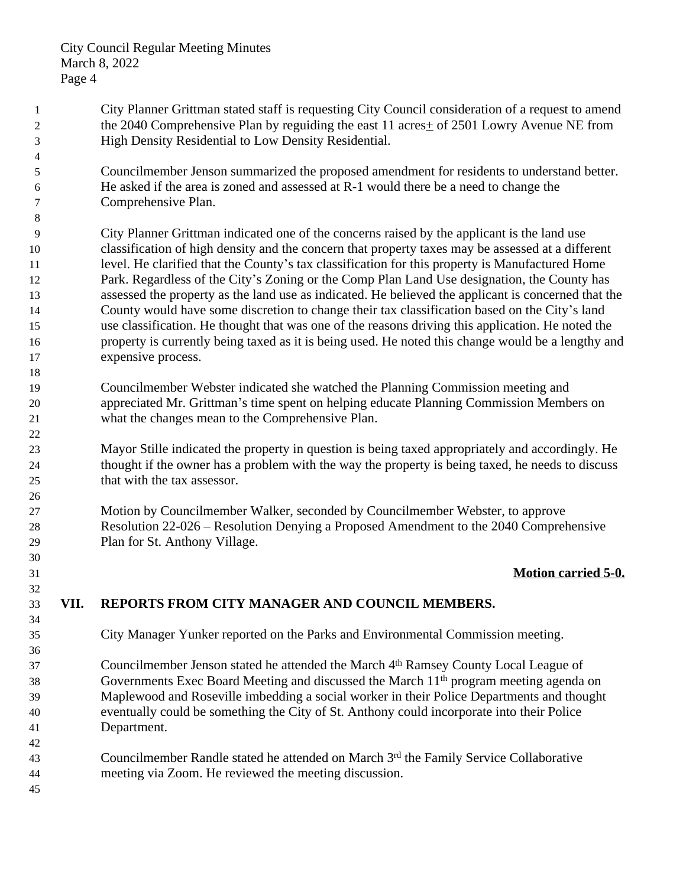- City Planner Grittman stated staff is requesting City Council consideration of a request to amend the 2040 Comprehensive Plan by reguiding the east 11 acres+ of 2501 Lowry Avenue NE from High Density Residential to Low Density Residential.
- Councilmember Jenson summarized the proposed amendment for residents to understand better. He asked if the area is zoned and assessed at R-1 would there be a need to change the Comprehensive Plan.
- City Planner Grittman indicated one of the concerns raised by the applicant is the land use classification of high density and the concern that property taxes may be assessed at a different 11 level. He clarified that the County's tax classification for this property is Manufactured Home Park. Regardless of the City's Zoning or the Comp Plan Land Use designation, the County has assessed the property as the land use as indicated. He believed the applicant is concerned that the County would have some discretion to change their tax classification based on the City's land use classification. He thought that was one of the reasons driving this application. He noted the property is currently being taxed as it is being used. He noted this change would be a lengthy and expensive process.
- Councilmember Webster indicated she watched the Planning Commission meeting and appreciated Mr. Grittman's time spent on helping educate Planning Commission Members on what the changes mean to the Comprehensive Plan.
- Mayor Stille indicated the property in question is being taxed appropriately and accordingly. He thought if the owner has a problem with the way the property is being taxed, he needs to discuss that with the tax assessor.
- Motion by Councilmember Walker, seconded by Councilmember Webster, to approve Resolution 22-026 – Resolution Denying a Proposed Amendment to the 2040 Comprehensive Plan for St. Anthony Village.

## **Motion carried 5-0.**

# **VII. REPORTS FROM CITY MANAGER AND COUNCIL MEMBERS.**

- City Manager Yunker reported on the Parks and Environmental Commission meeting.
- Councilmember Jenson stated he attended the March 4th Ramsey County Local League of Governments Exec Board Meeting and discussed the March 11th program meeting agenda on Maplewood and Roseville imbedding a social worker in their Police Departments and thought eventually could be something the City of St. Anthony could incorporate into their Police Department.
- Councilmember Randle stated he attended on March 3rd the Family Service Collaborative meeting via Zoom. He reviewed the meeting discussion.
-